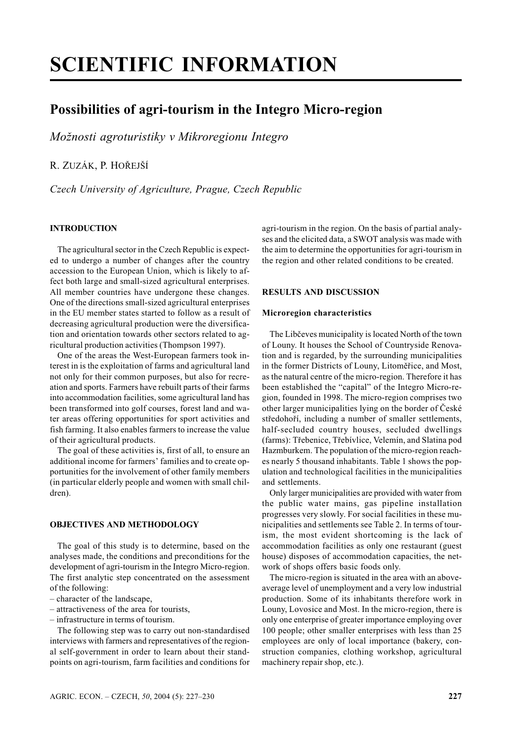# **SCIENTIFIC INFORMATION**

# Possibilities of agri-tourism in the Integro Micro-region

Možnosti agroturistiky v Mikroregionu Integro

R. ZUZÁK, P. HOŘEJŠÍ

Czech University of Agriculture, Prague, Czech Republic

# **INTRODUCTION**

The agricultural sector in the Czech Republic is expected to undergo a number of changes after the country accession to the European Union, which is likely to affect both large and small-sized agricultural enterprises. All member countries have undergone these changes. One of the directions small-sized agricultural enterprises in the EU member states started to follow as a result of decreasing agricultural production were the diversification and orientation towards other sectors related to agricultural production activities (Thompson 1997).

One of the areas the West-European farmers took interest in is the exploitation of farms and agricultural land not only for their common purposes, but also for recreation and sports. Farmers have rebuilt parts of their farms into accommodation facilities, some agricultural land has been transformed into golf courses, forest land and water areas offering opportunities for sport activities and fish farming. It also enables farmers to increase the value of their agricultural products.

The goal of these activities is, first of all, to ensure an additional income for farmers' families and to create opportunities for the involvement of other family members (in particular elderly people and women with small children).

# **OBJECTIVES AND METHODOLOGY**

The goal of this study is to determine, based on the analyses made, the conditions and preconditions for the development of agri-tourism in the Integro Micro-region. The first analytic step concentrated on the assessment of the following:

- character of the landscape.
- attractiveness of the area for tourists.
- $-$  infrastructure in terms of tourism.

The following step was to carry out non-standardised interviews with farmers and representatives of the regional self-government in order to learn about their standpoints on agri-tourism, farm facilities and conditions for agri-tourism in the region. On the basis of partial analyses and the elicited data, a SWOT analysis was made with the aim to determine the opportunities for agri-tourism in the region and other related conditions to be created.

#### **RESULTS AND DISCUSSION**

#### Microregion characteristics

The Libčeves municipality is located North of the town of Louny. It houses the School of Countryside Renovation and is regarded, by the surrounding municipalities in the former Districts of Louny. Litoměřice, and Most. as the natural centre of the micro-region. Therefore it has been established the "capital" of the Integro Micro-region, founded in 1998. The micro-region comprises two other larger municipalities lying on the border of České středohoří, including a number of smaller settlements, half-secluded country houses, secluded dwellings (farms): Třebenice, Třebívlice, Velemín, and Slatina pod Hazmburkem. The population of the micro-region reaches nearly 5 thousand inhabitants. Table 1 shows the population and technological facilities in the municipalities and settlements.

Only larger municipalities are provided with water from the public water mains, gas pipeline installation progresses very slowly. For social facilities in these municipalities and settlements see Table 2. In terms of tourism, the most evident shortcoming is the lack of accommodation facilities as only one restaurant (guest) house) disposes of accommodation capacities, the network of shops offers basic foods only.

The micro-region is situated in the area with an aboveaverage level of unemployment and a very low industrial production. Some of its inhabitants therefore work in Louny, Lovosice and Most. In the micro-region, there is only one enterprise of greater importance employing over 100 people; other smaller enterprises with less than 25 employees are only of local importance (bakery, construction companies, clothing workshop, agricultural machinery repair shop, etc.).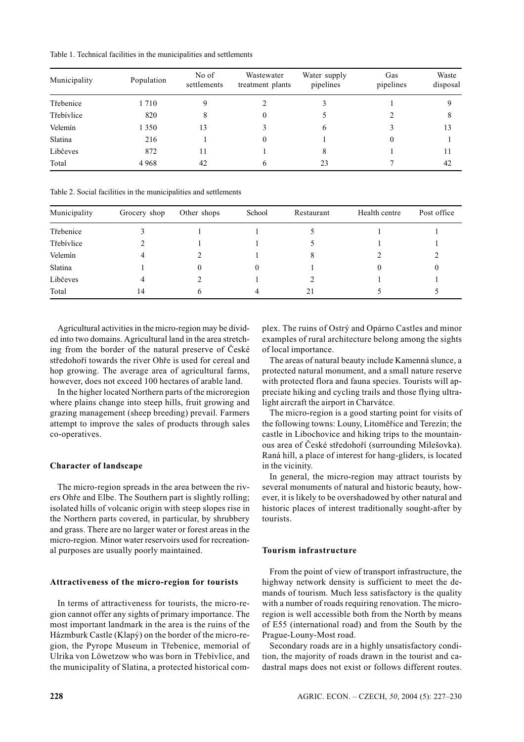Table 1. Technical facilities in the municipalities and settlements

| Municipality | Population | No of<br>settlements | Wastewater<br>treatment plants | Water supply<br>pipelines | Gas<br>pipelines | Waste<br>disposal |
|--------------|------------|----------------------|--------------------------------|---------------------------|------------------|-------------------|
| Třebenice    | l 710      |                      |                                |                           |                  |                   |
| Třebívlice   | 820        | 8                    |                                |                           |                  | 8                 |
| Velemín      | l 350      | 13                   |                                | 6                         |                  | 13                |
| Slatina      | 216        |                      |                                |                           |                  |                   |
| Libčeves     | 872        | 11                   |                                | 8                         |                  |                   |
| Total        | 4968       | 42                   | <sub>6</sub>                   | 23                        |                  | 42                |

Table 2. Social facilities in the municipalities and settlements

| Municipality | Grocery shop | Other shops | School | Restaurant | Health centre | Post office |
|--------------|--------------|-------------|--------|------------|---------------|-------------|
| Třebenice    |              |             |        |            |               |             |
| Třebívlice   |              |             |        |            |               |             |
| Velemín      |              |             |        |            |               |             |
| Slatina      |              |             |        |            |               |             |
| Libčeves     | 4            |             |        |            |               |             |
| Total        | 14           |             |        | 21         |               |             |

Agricultural activities in the micro-region may be divided into two domains. Agricultural land in the area stretching from the border of the natural preserve of České středohoří towards the river Ohře is used for cereal and hop growing. The average area of agricultural farms, however, does not exceed 100 hectares of arable land.

In the higher located Northern parts of the microregion where plains change into steep hills, fruit growing and grazing management (sheep breeding) prevail. Farmers attempt to improve the sales of products through sales co-operatives.

# **Character of landscape**

The micro-region spreads in the area between the rivers Ohře and Elbe. The Southern part is slightly rolling; isolated hills of volcanic origin with steep slopes rise in the Northern parts covered, in particular, by shrubbery and grass. There are no larger water or forest areas in the micro-region. Minor water reservoirs used for recreational purposes are usually poorly maintained.

#### Attractiveness of the micro-region for tourists

In terms of attractiveness for tourists, the micro-region cannot offer any sights of primary importance. The most important landmark in the area is the ruins of the Házmburk Castle (Klapý) on the border of the micro-region, the Pyrope Museum in Třebenice, memorial of Ulrika von Löwetzow who was born in Třebívlice, and the municipality of Slatina, a protected historical complex. The ruins of Ostrý and Opárno Castles and minor examples of rural architecture belong among the sights of local importance.

The areas of natural beauty include Kamenná slunce, a protected natural monument, and a small nature reserve with protected flora and fauna species. Tourists will appreciate hiking and cycling trails and those flying ultralight aircraft the airport in Charvátce.

The micro-region is a good starting point for visits of the following towns: Louny, Litoměřice and Terezín; the castle in Libochovice and hiking trips to the mountainous area of České středohoří (surrounding Milešovka). Raná hill, a place of interest for hang-gliders, is located in the vicinity.

In general, the micro-region may attract tourists by several monuments of natural and historic beauty, however, it is likely to be overshadowed by other natural and historic places of interest traditionally sought-after by tourists.

#### **Tourism infrastructure**

From the point of view of transport infrastructure, the highway network density is sufficient to meet the demands of tourism. Much less satisfactory is the quality with a number of roads requiring renovation. The microregion is well accessible both from the North by means of E55 (international road) and from the South by the Prague-Louny-Most road.

Secondary roads are in a highly unsatisfactory condition, the majority of roads drawn in the tourist and cadastral maps does not exist or follows different routes.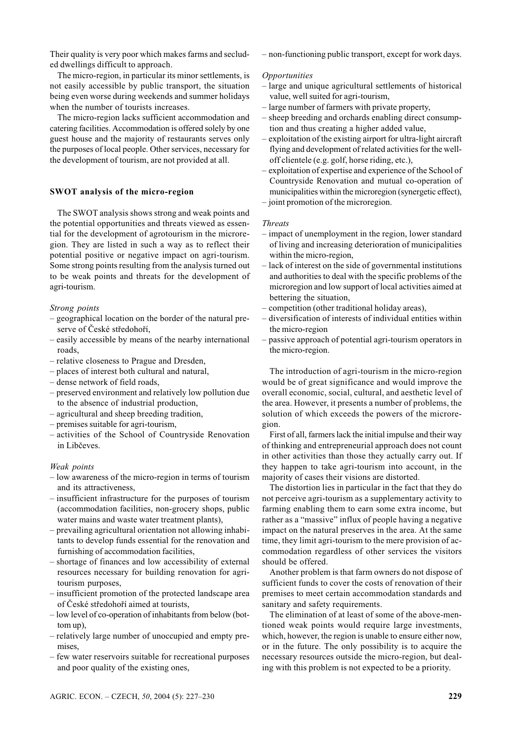Their quality is very poor which makes farms and secluded dwellings difficult to approach.

The micro-region, in particular its minor settlements, is not easily accessible by public transport, the situation being even worse during weekends and summer holidays when the number of tourists increases.

The micro-region lacks sufficient accommodation and catering facilities. Accommodation is offered solely by one guest house and the majority of restaurants serves only the purposes of local people. Other services, necessary for the development of tourism, are not provided at all.

## SWOT analysis of the micro-region

The SWOT analysis shows strong and weak points and the potential opportunities and threats viewed as essential for the development of agrotourism in the microregion. They are listed in such a way as to reflect their potential positive or negative impact on agri-tourism. Some strong points resulting from the analysis turned out to be weak points and threats for the development of agri-tourism.

#### Strong points

- geographical location on the border of the natural preserve of České středohoří,
- easily accessible by means of the nearby international roads,
- relative closeness to Prague and Dresden,
- places of interest both cultural and natural,
- dense network of field roads,
- preserved environment and relatively low pollution due to the absence of industrial production,
- agricultural and sheep breeding tradition,
- premises suitable for agri-tourism,
- activities of the School of Countryside Renovation in Libčeves.

# Weak points

- low awareness of the micro-region in terms of tourism and its attractiveness.
- insufficient infrastructure for the purposes of tourism (accommodation facilities, non-grocery shops, public water mains and waste water treatment plants),
- prevailing agricultural orientation not allowing inhabitants to develop funds essential for the renovation and furnishing of accommodation facilities,
- shortage of finances and low accessibility of external resources necessary for building renovation for agritourism purposes,
- insufficient promotion of the protected landscape area of České středohoří aimed at tourists,
- low level of co-operation of inhabitants from below (bot $tom$  up),
- relatively large number of unoccupied and empty premises.
- few water reservoirs suitable for recreational purposes and poor quality of the existing ones,

- non-functioning public transport, except for work days.

#### *Opportunities*

- large and unique agricultural settlements of historical value, well suited for agri-tourism.
- large number of farmers with private property,
- sheep breeding and orchards enabling direct consumption and thus creating a higher added value,
- exploitation of the existing airport for ultra-light aircraft flying and development of related activities for the welloff clientele (e.g. golf, horse riding, etc.).
- exploitation of expertise and experience of the School of  $\overline{a}$ Countryside Renovation and mutual co-operation of municipalities within the microregion (synergetic effect),  $-$  joint promotion of the microregion.
- **Threats**
- impact of unemployment in the region, lower standard of living and increasing deterioration of municipalities within the micro-region.
- lack of interest on the side of governmental institutions and authorities to deal with the specific problems of the microregion and low support of local activities aimed at bettering the situation,
- competition (other traditional holiday areas),
- diversification of interests of individual entities within the micro-region
- passive approach of potential agri-tourism operators in the micro-region.

The introduction of agri-tourism in the micro-region would be of great significance and would improve the overall economic, social, cultural, and aesthetic level of the area. However, it presents a number of problems, the solution of which exceeds the powers of the microregion.

First of all, farmers lack the initial impulse and their way of thinking and entrepreneurial approach does not count in other activities than those they actually carry out. If they happen to take agri-tourism into account, in the majority of cases their visions are distorted.

The distortion lies in particular in the fact that they do not perceive agri-tourism as a supplementary activity to farming enabling them to earn some extra income, but rather as a "massive" influx of people having a negative impact on the natural preserves in the area. At the same time, they limit agri-tourism to the mere provision of accommodation regardless of other services the visitors should be offered.

Another problem is that farm owners do not dispose of sufficient funds to cover the costs of renovation of their premises to meet certain accommodation standards and sanitary and safety requirements.

The elimination of at least of some of the above-mentioned weak points would require large investments, which, however, the region is unable to ensure either now, or in the future. The only possibility is to acquire the necessary resources outside the micro-region, but dealing with this problem is not expected to be a priority.